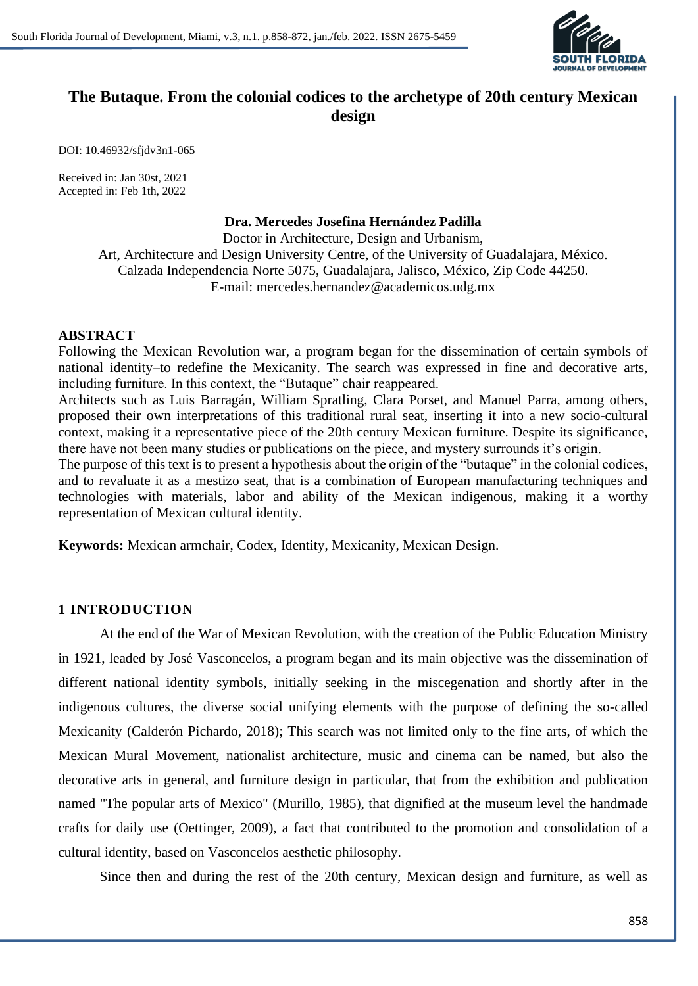

# **The Butaque. From the colonial codices to the archetype of 20th century Mexican design**

DOI: 10.46932/sfjdv3n1-065

Received in: Jan 30st, 2021 Accepted in: Feb 1th, 2022

#### **Dra. Mercedes Josefina Hernández Padilla**

Doctor in Architecture, Design and Urbanism, Art, Architecture and Design University Centre, of the University of Guadalajara, México. Calzada Independencia Norte 5075, Guadalajara, Jalisco, México, Zip Code 44250. E-mail: mercedes.hernandez@academicos.udg.mx

## **ABSTRACT**

Following the Mexican Revolution war, a program began for the dissemination of certain symbols of national identity–to redefine the Mexicanity. The search was expressed in fine and decorative arts, including furniture. In this context, the "Butaque" chair reappeared.

Architects such as Luis Barragán, William Spratling, Clara Porset, and Manuel Parra, among others, proposed their own interpretations of this traditional rural seat, inserting it into a new socio-cultural context, making it a representative piece of the 20th century Mexican furniture. Despite its significance, there have not been many studies or publications on the piece, and mystery surrounds it's origin.

The purpose of this text is to present a hypothesis about the origin of the "butaque" in the colonial codices, and to revaluate it as a mestizo seat, that is a combination of European manufacturing techniques and technologies with materials, labor and ability of the Mexican indigenous, making it a worthy representation of Mexican cultural identity.

**Keywords:** Mexican armchair, Codex, Identity, Mexicanity, Mexican Design.

# **1 INTRODUCTION**

At the end of the War of Mexican Revolution, with the creation of the Public Education Ministry in 1921, leaded by José Vasconcelos, a program began and its main objective was the dissemination of different national identity symbols, initially seeking in the miscegenation and shortly after in the indigenous cultures, the diverse social unifying elements with the purpose of defining the so-called Mexicanity (Calderón Pichardo, 2018); This search was not limited only to the fine arts, of which the Mexican Mural Movement, nationalist architecture, music and cinema can be named, but also the decorative arts in general, and furniture design in particular, that from the exhibition and publication named "The popular arts of Mexico" (Murillo, 1985), that dignified at the museum level the handmade crafts for daily use (Oettinger, 2009), a fact that contributed to the promotion and consolidation of a cultural identity, based on Vasconcelos aesthetic philosophy.

Since then and during the rest of the 20th century, Mexican design and furniture, as well as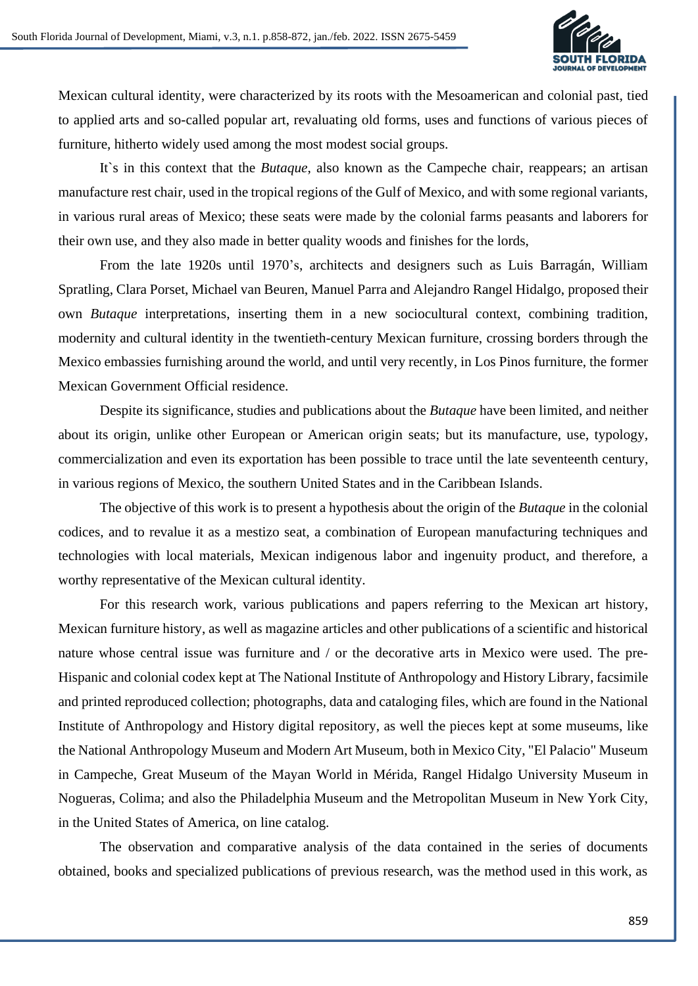

Mexican cultural identity, were characterized by its roots with the Mesoamerican and colonial past, tied to applied arts and so-called popular art, revaluating old forms, uses and functions of various pieces of furniture, hitherto widely used among the most modest social groups.

It`s in this context that the *Butaque*, also known as the Campeche chair, reappears; an artisan manufacture rest chair, used in the tropical regions of the Gulf of Mexico, and with some regional variants, in various rural areas of Mexico; these seats were made by the colonial farms peasants and laborers for their own use, and they also made in better quality woods and finishes for the lords,

From the late 1920s until 1970's, architects and designers such as Luis Barragán, William Spratling, Clara Porset, Michael van Beuren, Manuel Parra and Alejandro Rangel Hidalgo, proposed their own *Butaque* interpretations, inserting them in a new sociocultural context, combining tradition, modernity and cultural identity in the twentieth-century Mexican furniture, crossing borders through the Mexico embassies furnishing around the world, and until very recently, in Los Pinos furniture, the former Mexican Government Official residence.

Despite its significance, studies and publications about the *Butaque* have been limited, and neither about its origin, unlike other European or American origin seats; but its manufacture, use, typology, commercialization and even its exportation has been possible to trace until the late seventeenth century, in various regions of Mexico, the southern United States and in the Caribbean Islands.

The objective of this work is to present a hypothesis about the origin of the *Butaque* in the colonial codices, and to revalue it as a mestizo seat, a combination of European manufacturing techniques and technologies with local materials, Mexican indigenous labor and ingenuity product, and therefore, a worthy representative of the Mexican cultural identity.

For this research work, various publications and papers referring to the Mexican art history, Mexican furniture history, as well as magazine articles and other publications of a scientific and historical nature whose central issue was furniture and / or the decorative arts in Mexico were used. The pre-Hispanic and colonial codex kept at The National Institute of Anthropology and History Library, facsimile and printed reproduced collection; photographs, data and cataloging files, which are found in the National Institute of Anthropology and History digital repository, as well the pieces kept at some museums, like the National Anthropology Museum and Modern Art Museum, both in Mexico City, "El Palacio" Museum in Campeche, Great Museum of the Mayan World in Mérida, Rangel Hidalgo University Museum in Nogueras, Colima; and also the Philadelphia Museum and the Metropolitan Museum in New York City, in the United States of America, on line catalog.

The observation and comparative analysis of the data contained in the series of documents obtained, books and specialized publications of previous research, was the method used in this work, as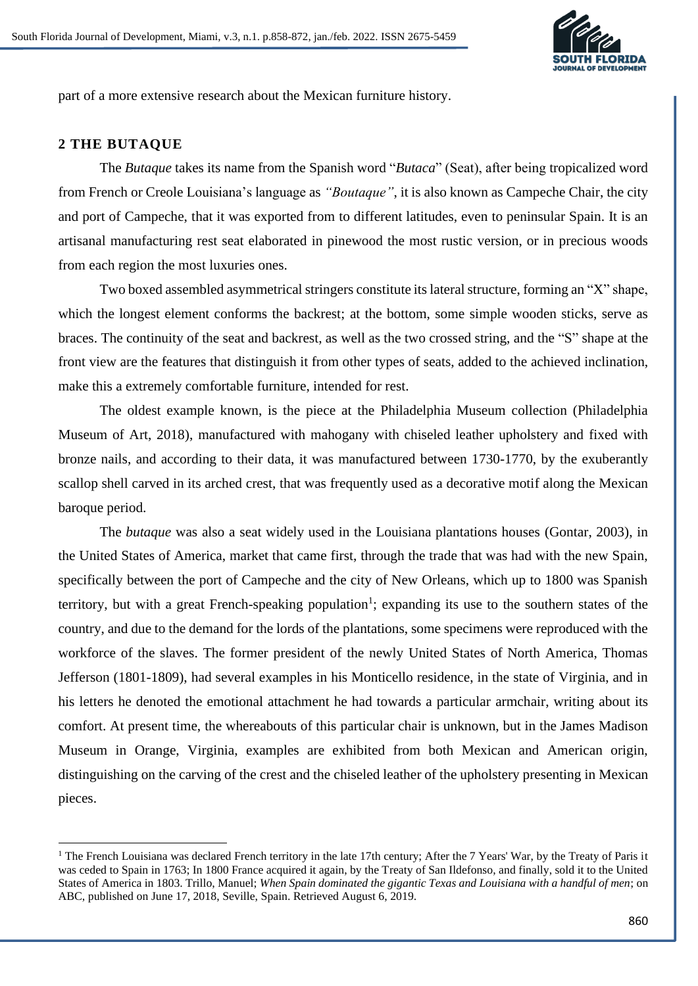

part of a more extensive research about the Mexican furniture history.

## **2 THE BUTAQUE**

The *Butaque* takes its name from the Spanish word "*Butaca*" (Seat), after being tropicalized word from French or Creole Louisiana's language as *"Boutaque"*, it is also known as Campeche Chair, the city and port of Campeche, that it was exported from to different latitudes, even to peninsular Spain. It is an artisanal manufacturing rest seat elaborated in pinewood the most rustic version, or in precious woods from each region the most luxuries ones.

Two boxed assembled asymmetrical stringers constitute its lateral structure, forming an "X" shape, which the longest element conforms the backrest; at the bottom, some simple wooden sticks, serve as braces. The continuity of the seat and backrest, as well as the two crossed string, and the "S" shape at the front view are the features that distinguish it from other types of seats, added to the achieved inclination, make this a extremely comfortable furniture, intended for rest.

The oldest example known, is the piece at the Philadelphia Museum collection (Philadelphia Museum of Art, 2018), manufactured with mahogany with chiseled leather upholstery and fixed with bronze nails, and according to their data, it was manufactured between 1730-1770, by the exuberantly scallop shell carved in its arched crest, that was frequently used as a decorative motif along the Mexican baroque period.

The *butaque* was also a seat widely used in the Louisiana plantations houses (Gontar, 2003), in the United States of America, market that came first, through the trade that was had with the new Spain, specifically between the port of Campeche and the city of New Orleans, which up to 1800 was Spanish territory, but with a great French-speaking population<sup>1</sup>; expanding its use to the southern states of the country, and due to the demand for the lords of the plantations, some specimens were reproduced with the workforce of the slaves. The former president of the newly United States of North America, Thomas Jefferson (1801-1809), had several examples in his Monticello residence, in the state of Virginia, and in his letters he denoted the emotional attachment he had towards a particular armchair, writing about its comfort. At present time, the whereabouts of this particular chair is unknown, but in the James Madison Museum in Orange, Virginia, examples are exhibited from both Mexican and American origin, distinguishing on the carving of the crest and the chiseled leather of the upholstery presenting in Mexican pieces.

<sup>&</sup>lt;sup>1</sup> The French Louisiana was declared French territory in the late 17th century; After the 7 Years' War, by the Treaty of Paris it was ceded to Spain in 1763; In 1800 France acquired it again, by the Treaty of San Ildefonso, and finally, sold it to the United States of America in 1803. Trillo, Manuel; *When Spain dominated the gigantic Texas and Louisiana with a handful of men*; on ABC, published on June 17, 2018, Seville, Spain. Retrieved August 6, 2019.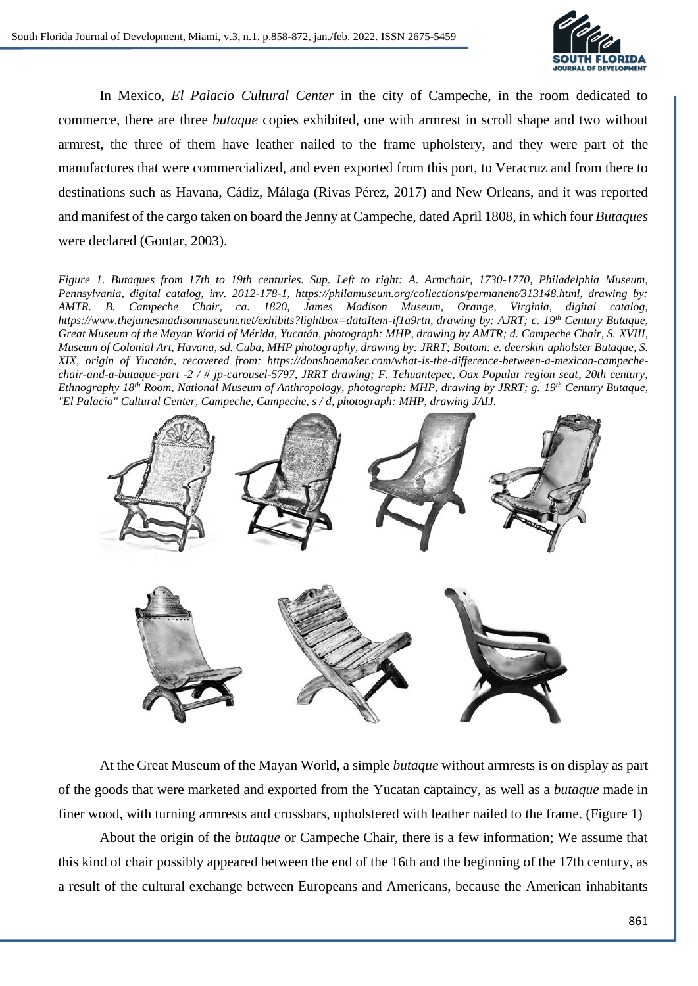

In Mexico, *El Palacio Cultural Center* in the city of Campeche, in the room dedicated to commerce, there are three *butaque* copies exhibited, one with armrest in scroll shape and two without armrest, the three of them have leather nailed to the frame upholstery, and they were part of the manufactures that were commercialized, and even exported from this port, to Veracruz and from there to destinations such as Havana, Cádiz, Málaga (Rivas Pérez, 2017) and New Orleans, and it was reported and manifest of the cargo taken on board the Jenny at Campeche, dated April 1808, in which four *Butaques* were declared (Gontar, 2003).

*Figure 1. Butaques from 17th to 19th centuries. Sup. Left to right: A. Armchair, 1730-1770, Philadelphia Museum, Pennsylvania, digital catalog, inv. 2012-178-1, https://philamuseum.org/collections/permanent/313148.html, drawing by: AMTR. B. Campeche Chair, ca. 1820, James Madison Museum, Orange, Virginia, digital catalog, https://www.thejamesmadisonmuseum.net/exhibits?lightbox=dataItem-if1a9rtn, drawing by: AJRT; c. 19th Century Butaque, Great Museum of the Mayan World of Mérida, Yucatán, photograph: MHP, drawing by AMTR; d. Campeche Chair, S. XVIII, Museum of Colonial Art, Havana, sd. Cuba, MHP photography, drawing by: JRRT; Bottom: e. deerskin upholster Butaque, S. XIX, origin of Yucatán, recovered from: https://donshoemaker.com/what-is-the-difference-between-a-mexican-campechechair-and-a-butaque-part -2 / # jp-carousel-5797, JRRT drawing; F. Tehuantepec, Oax Popular region seat, 20th century, Ethnography 18th Room, National Museum of Anthropology, photograph: MHP, drawing by JRRT; g. 19th Century Butaque, "El Palacio" Cultural Center, Campeche, Campeche, s / d, photograph: MHP, drawing JAIJ.*



At the Great Museum of the Mayan World, a simple *butaque* without armrests is on display as part of the goods that were marketed and exported from the Yucatan captaincy, as well as a *butaque* made in finer wood, with turning armrests and crossbars, upholstered with leather nailed to the frame. (Figure 1)

About the origin of the *butaque* or Campeche Chair, there is a few information; We assume that this kind of chair possibly appeared between the end of the 16th and the beginning of the 17th century, as a result of the cultural exchange between Europeans and Americans, because the American inhabitants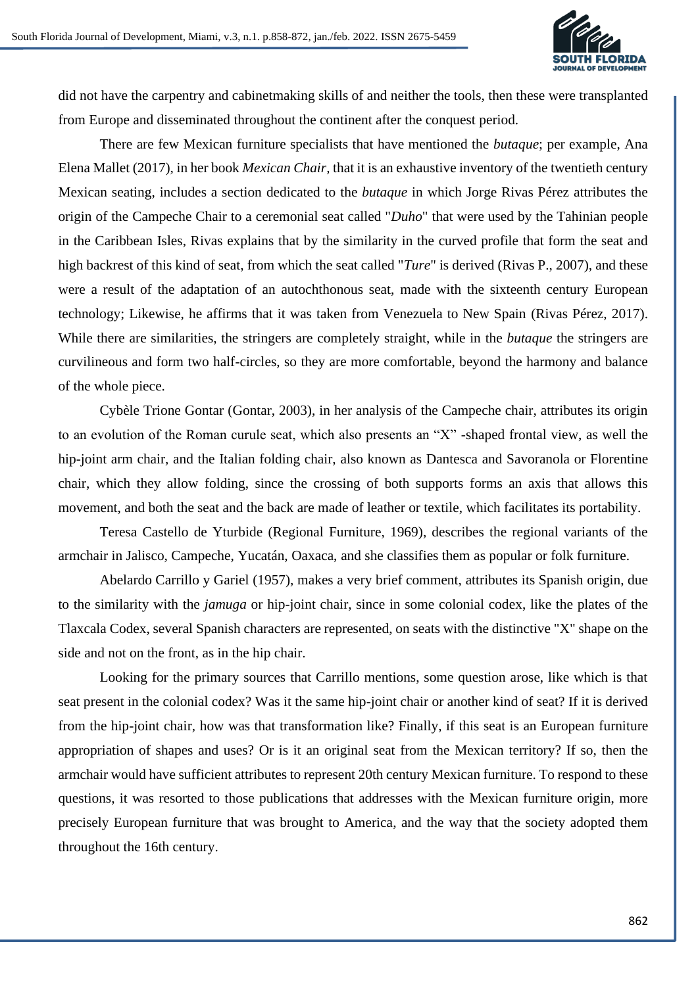

did not have the carpentry and cabinetmaking skills of and neither the tools, then these were transplanted from Europe and disseminated throughout the continent after the conquest period.

There are few Mexican furniture specialists that have mentioned the *butaque*; per example, Ana Elena Mallet (2017), in her book *Mexican Chair,* that it is an exhaustive inventory of the twentieth century Mexican seating, includes a section dedicated to the *butaque* in which Jorge Rivas Pérez attributes the origin of the Campeche Chair to a ceremonial seat called "*Duho*" that were used by the Tahinian people in the Caribbean Isles, Rivas explains that by the similarity in the curved profile that form the seat and high backrest of this kind of seat, from which the seat called "*Ture*" is derived (Rivas P., 2007), and these were a result of the adaptation of an autochthonous seat, made with the sixteenth century European technology; Likewise, he affirms that it was taken from Venezuela to New Spain (Rivas Pérez, 2017). While there are similarities, the stringers are completely straight, while in the *butaque* the stringers are curvilineous and form two half-circles, so they are more comfortable, beyond the harmony and balance of the whole piece.

Cybèle Trione Gontar (Gontar, 2003), in her analysis of the Campeche chair, attributes its origin to an evolution of the Roman curule seat, which also presents an "X" -shaped frontal view, as well the hip-joint arm chair, and the Italian folding chair, also known as Dantesca and Savoranola or Florentine chair, which they allow folding, since the crossing of both supports forms an axis that allows this movement, and both the seat and the back are made of leather or textile, which facilitates its portability.

Teresa Castello de Yturbide (Regional Furniture, 1969), describes the regional variants of the armchair in Jalisco, Campeche, Yucatán, Oaxaca, and she classifies them as popular or folk furniture.

Abelardo Carrillo y Gariel (1957), makes a very brief comment, attributes its Spanish origin, due to the similarity with the *jamuga* or hip-joint chair, since in some colonial codex, like the plates of the Tlaxcala Codex, several Spanish characters are represented, on seats with the distinctive "X" shape on the side and not on the front, as in the hip chair.

Looking for the primary sources that Carrillo mentions, some question arose, like which is that seat present in the colonial codex? Was it the same hip-joint chair or another kind of seat? If it is derived from the hip-joint chair, how was that transformation like? Finally, if this seat is an European furniture appropriation of shapes and uses? Or is it an original seat from the Mexican territory? If so, then the armchair would have sufficient attributes to represent 20th century Mexican furniture. To respond to these questions, it was resorted to those publications that addresses with the Mexican furniture origin, more precisely European furniture that was brought to America, and the way that the society adopted them throughout the 16th century.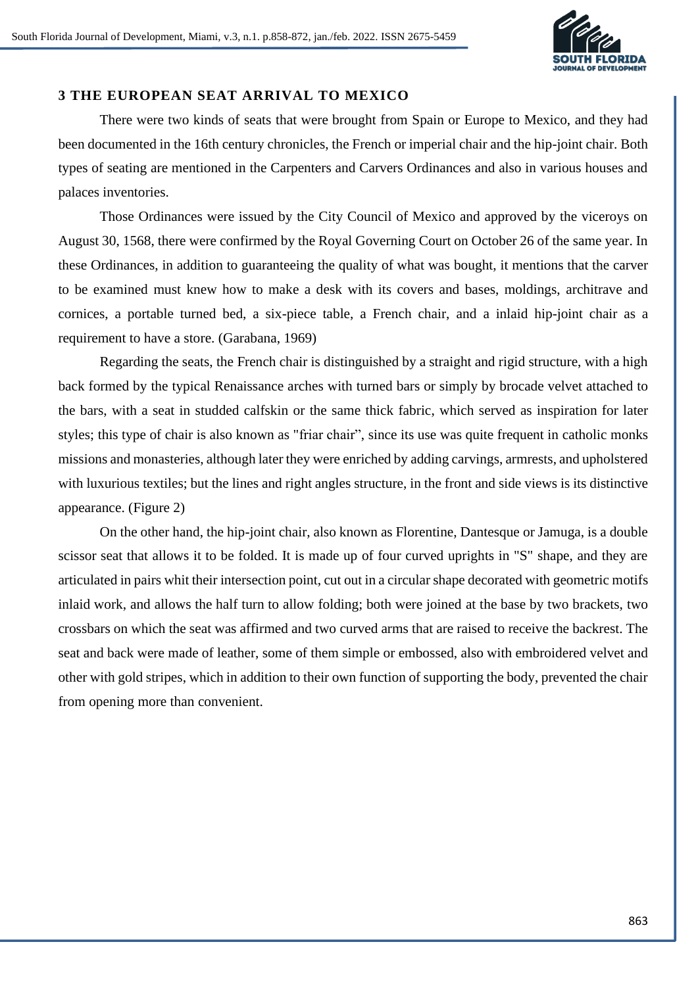

# **3 THE EUROPEAN SEAT ARRIVAL TO MEXICO**

There were two kinds of seats that were brought from Spain or Europe to Mexico, and they had been documented in the 16th century chronicles, the French or imperial chair and the hip-joint chair. Both types of seating are mentioned in the Carpenters and Carvers Ordinances and also in various houses and palaces inventories.

Those Ordinances were issued by the City Council of Mexico and approved by the viceroys on August 30, 1568, there were confirmed by the Royal Governing Court on October 26 of the same year. In these Ordinances, in addition to guaranteeing the quality of what was bought, it mentions that the carver to be examined must knew how to make a desk with its covers and bases, moldings, architrave and cornices, a portable turned bed, a six-piece table, a French chair, and a inlaid hip-joint chair as a requirement to have a store. (Garabana, 1969)

Regarding the seats, the French chair is distinguished by a straight and rigid structure, with a high back formed by the typical Renaissance arches with turned bars or simply by brocade velvet attached to the bars, with a seat in studded calfskin or the same thick fabric, which served as inspiration for later styles; this type of chair is also known as "friar chair", since its use was quite frequent in catholic monks missions and monasteries, although later they were enriched by adding carvings, armrests, and upholstered with luxurious textiles; but the lines and right angles structure, in the front and side views is its distinctive appearance. (Figure 2)

On the other hand, the hip-joint chair, also known as Florentine, Dantesque or Jamuga, is a double scissor seat that allows it to be folded. It is made up of four curved uprights in "S" shape, and they are articulated in pairs whit their intersection point, cut out in a circular shape decorated with geometric motifs inlaid work, and allows the half turn to allow folding; both were joined at the base by two brackets, two crossbars on which the seat was affirmed and two curved arms that are raised to receive the backrest. The seat and back were made of leather, some of them simple or embossed, also with embroidered velvet and other with gold stripes, which in addition to their own function of supporting the body, prevented the chair from opening more than convenient.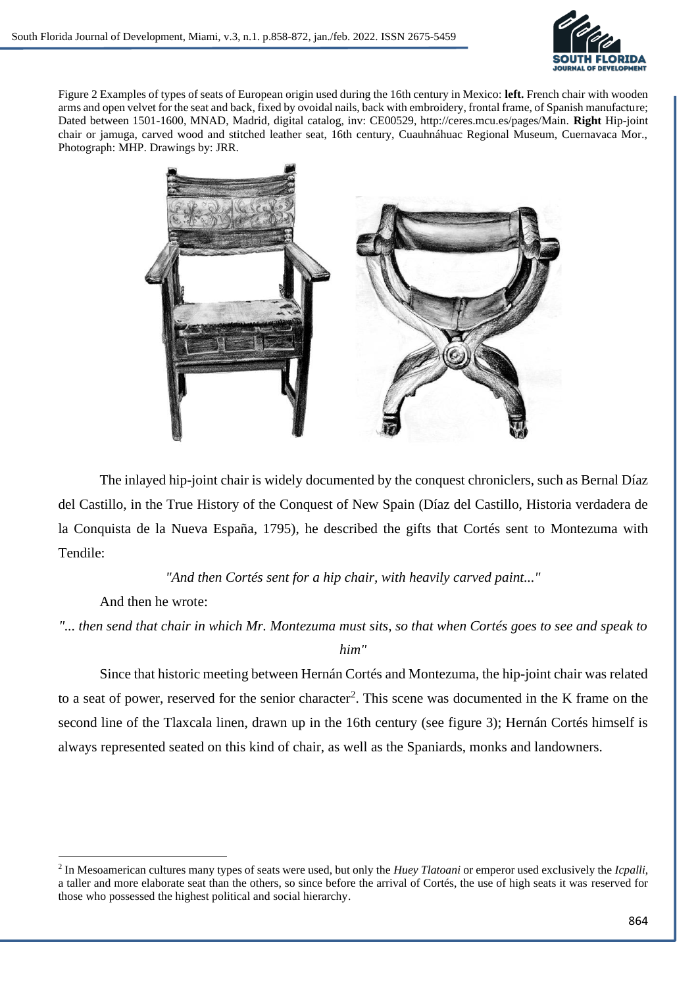

Figure 2 Examples of types of seats of European origin used during the 16th century in Mexico: **left.** French chair with wooden arms and open velvet for the seat and back, fixed by ovoidal nails, back with embroidery, frontal frame, of Spanish manufacture; Dated between 1501-1600, MNAD, Madrid, digital catalog, inv: CE00529, http://ceres.mcu.es/pages/Main. **Right** Hip-joint chair or jamuga, carved wood and stitched leather seat, 16th century, Cuauhnáhuac Regional Museum, Cuernavaca Mor., Photograph: MHP. Drawings by: JRR.



The inlayed hip-joint chair is widely documented by the conquest chroniclers, such as Bernal Díaz del Castillo, in the True History of the Conquest of New Spain (Díaz del Castillo, Historia verdadera de la Conquista de la Nueva España, 1795), he described the gifts that Cortés sent to Montezuma with Tendile:

*"And then Cortés sent for a hip chair, with heavily carved paint..."*

And then he wrote:

*"... then send that chair in which Mr. Montezuma must sits, so that when Cortés goes to see and speak to* 

*him"*

Since that historic meeting between Hernán Cortés and Montezuma, the hip-joint chair was related to a seat of power, reserved for the senior character<sup>2</sup>. This scene was documented in the K frame on the second line of the Tlaxcala linen, drawn up in the 16th century (see figure 3); Hernán Cortés himself is always represented seated on this kind of chair, as well as the Spaniards, monks and landowners.

<sup>2</sup> In Mesoamerican cultures many types of seats were used, but only the *Huey Tlatoani* or emperor used exclusively the *Icpalli*, a taller and more elaborate seat than the others, so since before the arrival of Cortés, the use of high seats it was reserved for those who possessed the highest political and social hierarchy.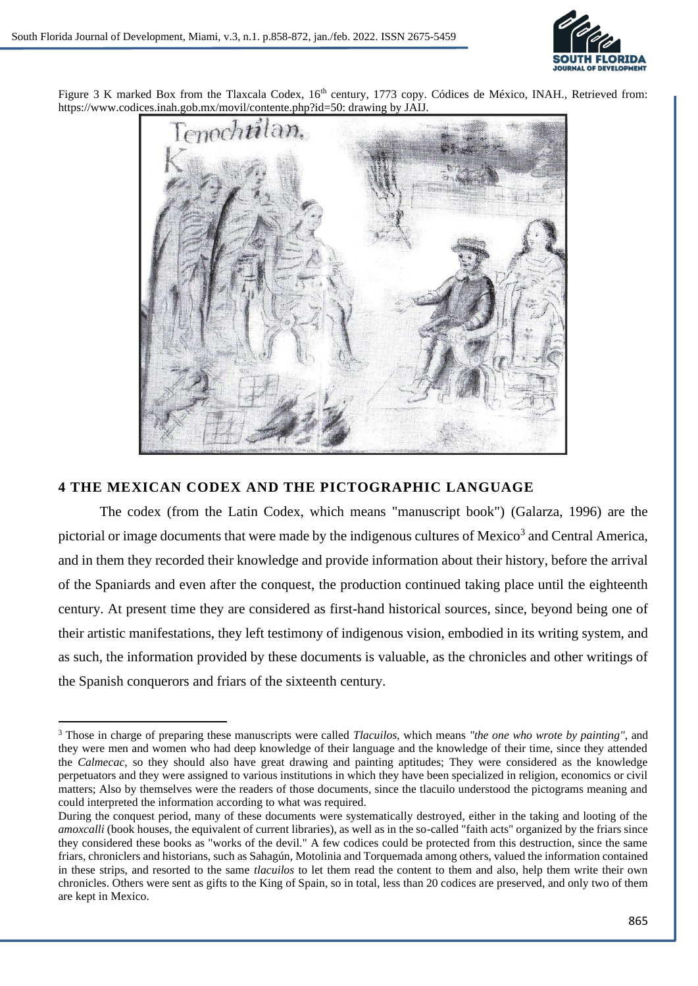

Figure 3 K marked Box from the Tlaxcala Codex, 16<sup>th</sup> century, 1773 copy. Códices de México, INAH., Retrieved from: https://www.codices.inah.gob.mx/movil/contente.php?id=50: drawing by JAIJ.



# **4 THE MEXICAN CODEX AND THE PICTOGRAPHIC LANGUAGE**

The codex (from the Latin Codex, which means "manuscript book") (Galarza, 1996) are the pictorial or image documents that were made by the indigenous cultures of Mexico<sup>3</sup> and Central America, and in them they recorded their knowledge and provide information about their history, before the arrival of the Spaniards and even after the conquest, the production continued taking place until the eighteenth century. At present time they are considered as first-hand historical sources, since, beyond being one of their artistic manifestations, they left testimony of indigenous vision, embodied in its writing system, and as such, the information provided by these documents is valuable, as the chronicles and other writings of the Spanish conquerors and friars of the sixteenth century.

<sup>3</sup> Those in charge of preparing these manuscripts were called *Tlacuilos*, which means *"the one who wrote by painting"*, and they were men and women who had deep knowledge of their language and the knowledge of their time, since they attended the *Calmecac*, so they should also have great drawing and painting aptitudes; They were considered as the knowledge perpetuators and they were assigned to various institutions in which they have been specialized in religion, economics or civil matters; Also by themselves were the readers of those documents, since the tlacuilo understood the pictograms meaning and could interpreted the information according to what was required.

During the conquest period, many of these documents were systematically destroyed, either in the taking and looting of the *amoxcalli* (book houses, the equivalent of current libraries), as well as in the so-called "faith acts" organized by the friars since they considered these books as "works of the devil." A few codices could be protected from this destruction, since the same friars, chroniclers and historians, such as Sahagún, Motolinia and Torquemada among others, valued the information contained in these strips, and resorted to the same *tlacuilos* to let them read the content to them and also, help them write their own chronicles. Others were sent as gifts to the King of Spain, so in total, less than 20 codices are preserved, and only two of them are kept in Mexico.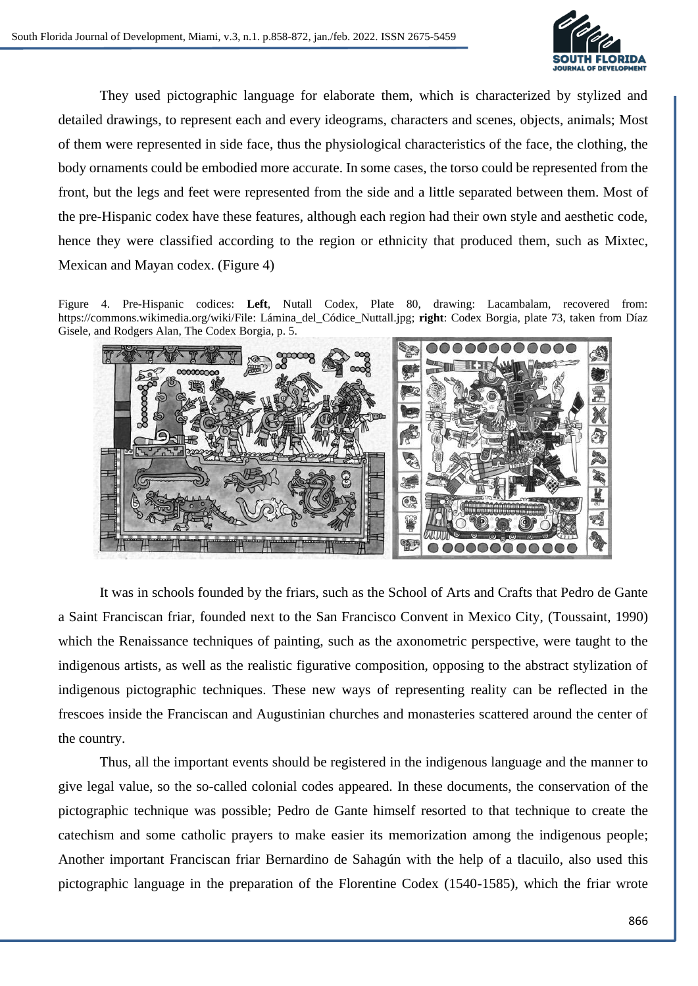

They used pictographic language for elaborate them, which is characterized by stylized and detailed drawings, to represent each and every ideograms, characters and scenes, objects, animals; Most of them were represented in side face, thus the physiological characteristics of the face, the clothing, the body ornaments could be embodied more accurate. In some cases, the torso could be represented from the front, but the legs and feet were represented from the side and a little separated between them. Most of the pre-Hispanic codex have these features, although each region had their own style and aesthetic code, hence they were classified according to the region or ethnicity that produced them, such as Mixtec, Mexican and Mayan codex. (Figure 4)

Figure 4. Pre-Hispanic codices: **Left**, Nutall Codex, Plate 80, drawing: Lacambalam, recovered from: https://commons.wikimedia.org/wiki/File: Lámina\_del\_Códice\_Nuttall.jpg; **right**: Codex Borgia, plate 73, taken from Díaz Gisele, and Rodgers Alan, The Codex Borgia, p. 5.



It was in schools founded by the friars, such as the School of Arts and Crafts that Pedro de Gante a Saint Franciscan friar, founded next to the San Francisco Convent in Mexico City, (Toussaint, 1990) which the Renaissance techniques of painting, such as the axonometric perspective, were taught to the indigenous artists, as well as the realistic figurative composition, opposing to the abstract stylization of indigenous pictographic techniques. These new ways of representing reality can be reflected in the frescoes inside the Franciscan and Augustinian churches and monasteries scattered around the center of the country.

Thus, all the important events should be registered in the indigenous language and the manner to give legal value, so the so-called colonial codes appeared. In these documents, the conservation of the pictographic technique was possible; Pedro de Gante himself resorted to that technique to create the catechism and some catholic prayers to make easier its memorization among the indigenous people; Another important Franciscan friar Bernardino de Sahagún with the help of a tlacuilo, also used this pictographic language in the preparation of the Florentine Codex (1540-1585), which the friar wrote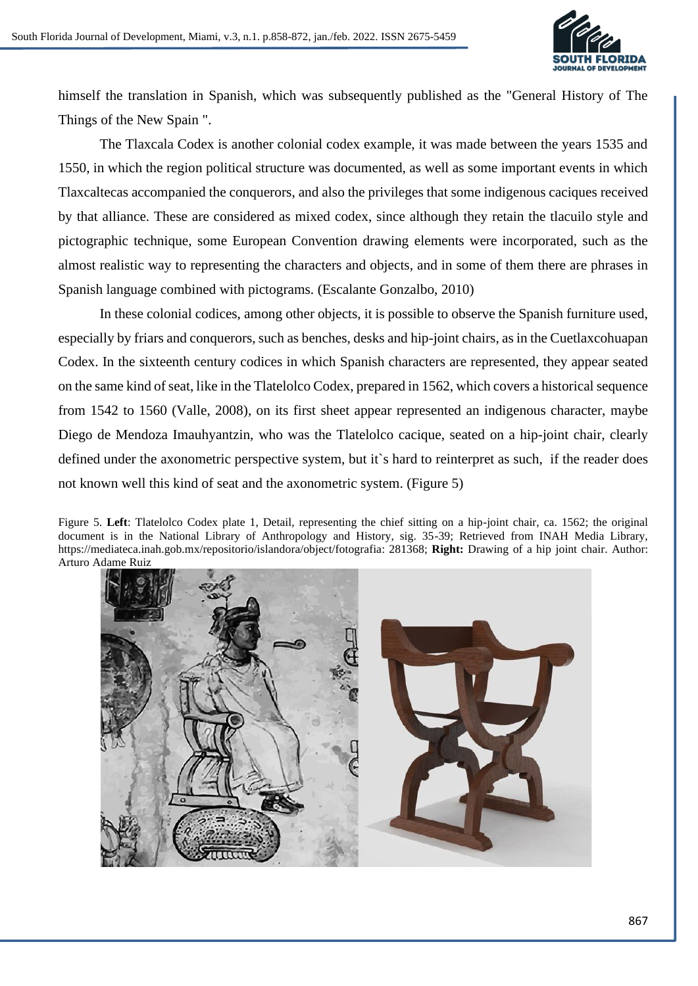

himself the translation in Spanish, which was subsequently published as the "General History of The Things of the New Spain ".

The Tlaxcala Codex is another colonial codex example, it was made between the years 1535 and 1550, in which the region political structure was documented, as well as some important events in which Tlaxcaltecas accompanied the conquerors, and also the privileges that some indigenous caciques received by that alliance. These are considered as mixed codex, since although they retain the tlacuilo style and pictographic technique, some European Convention drawing elements were incorporated, such as the almost realistic way to representing the characters and objects, and in some of them there are phrases in Spanish language combined with pictograms. (Escalante Gonzalbo, 2010)

In these colonial codices, among other objects, it is possible to observe the Spanish furniture used, especially by friars and conquerors, such as benches, desks and hip-joint chairs, as in the Cuetlaxcohuapan Codex. In the sixteenth century codices in which Spanish characters are represented, they appear seated on the same kind of seat, like in the Tlatelolco Codex, prepared in 1562, which covers a historical sequence from 1542 to 1560 (Valle, 2008), on its first sheet appear represented an indigenous character, maybe Diego de Mendoza Imauhyantzin, who was the Tlatelolco cacique, seated on a hip-joint chair, clearly defined under the axonometric perspective system, but it`s hard to reinterpret as such, if the reader does not known well this kind of seat and the axonometric system. (Figure 5)

Figure 5. **Left**: Tlatelolco Codex plate 1, Detail, representing the chief sitting on a hip-joint chair, ca. 1562; the original document is in the National Library of Anthropology and History, sig. 35-39; Retrieved from INAH Media Library, https://mediateca.inah.gob.mx/repositorio/islandora/object/fotografia: 281368; **Right:** Drawing of a hip joint chair. Author: Arturo Adame Ruiz

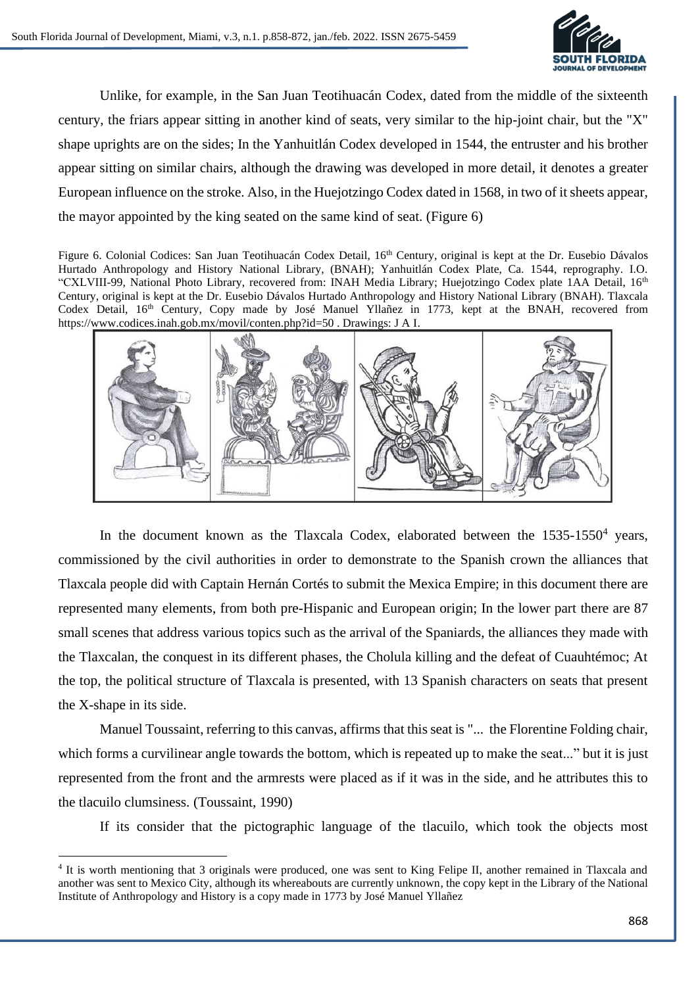

Unlike, for example, in the San Juan Teotihuacán Codex, dated from the middle of the sixteenth century, the friars appear sitting in another kind of seats, very similar to the hip-joint chair, but the "X" shape uprights are on the sides; In the Yanhuitlán Codex developed in 1544, the entruster and his brother appear sitting on similar chairs, although the drawing was developed in more detail, it denotes a greater European influence on the stroke. Also, in the Huejotzingo Codex dated in 1568, in two of it sheets appear, the mayor appointed by the king seated on the same kind of seat. (Figure 6)

Figure 6. Colonial Codices: San Juan Teotihuacán Codex Detail, 16<sup>th</sup> Century, original is kept at the Dr. Eusebio Dávalos Hurtado Anthropology and History National Library, (BNAH); Yanhuitlán Codex Plate, Ca. 1544, reprography. I.O. "CXLVIII-99, National Photo Library, recovered from: INAH Media Library; Huejotzingo Codex plate 1AA Detail, 16<sup>th</sup> Century, original is kept at the Dr. Eusebio Dávalos Hurtado Anthropology and History National Library (BNAH). Tlaxcala Codex Detail, 16th Century, Copy made by José Manuel Yllañez in 1773, kept at the BNAH, recovered from https://www.codices.inah.gob.mx/movil/conten.php?id=50 . Drawings: J A I.



In the document known as the Tlaxcala Codex, elaborated between the  $1535-1550^4$  years, commissioned by the civil authorities in order to demonstrate to the Spanish crown the alliances that Tlaxcala people did with Captain Hernán Cortés to submit the Mexica Empire; in this document there are represented many elements, from both pre-Hispanic and European origin; In the lower part there are 87 small scenes that address various topics such as the arrival of the Spaniards, the alliances they made with the Tlaxcalan, the conquest in its different phases, the Cholula killing and the defeat of Cuauhtémoc; At the top, the political structure of Tlaxcala is presented, with 13 Spanish characters on seats that present the X-shape in its side.

Manuel Toussaint, referring to this canvas, affirms that this seat is "... the Florentine Folding chair, which forms a curvilinear angle towards the bottom, which is repeated up to make the seat..." but it is just represented from the front and the armrests were placed as if it was in the side, and he attributes this to the tlacuilo clumsiness. (Toussaint, 1990)

If its consider that the pictographic language of the tlacuilo, which took the objects most

<sup>&</sup>lt;sup>4</sup> It is worth mentioning that 3 originals were produced, one was sent to King Felipe II, another remained in Tlaxcala and another was sent to Mexico City, although its whereabouts are currently unknown, the copy kept in the Library of the National Institute of Anthropology and History is a copy made in 1773 by José Manuel Yllañez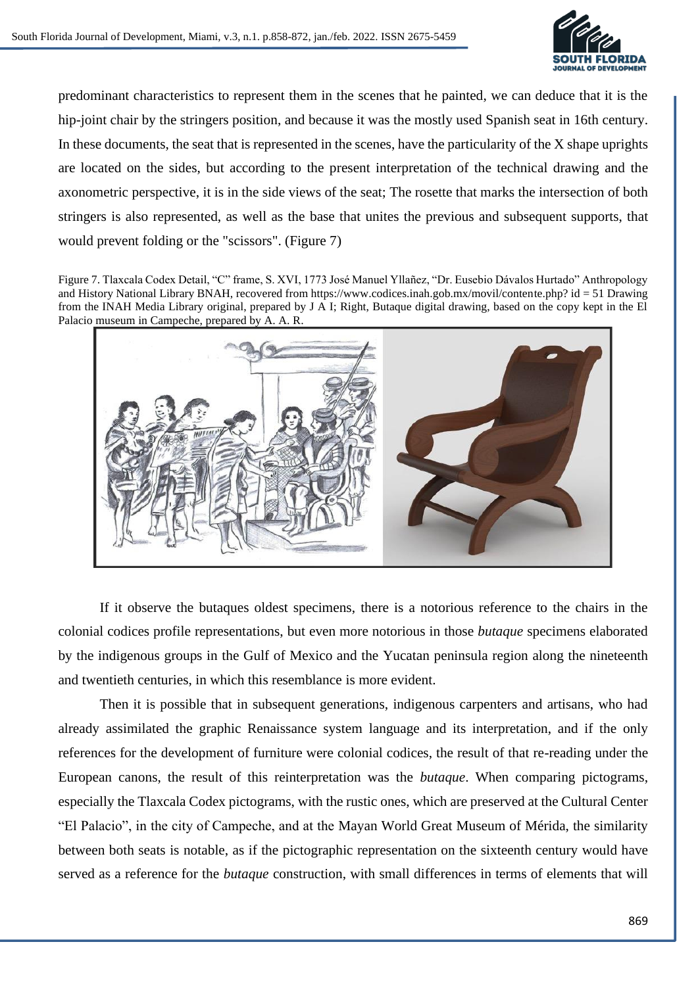

predominant characteristics to represent them in the scenes that he painted, we can deduce that it is the hip-joint chair by the stringers position, and because it was the mostly used Spanish seat in 16th century. In these documents, the seat that is represented in the scenes, have the particularity of the X shape uprights are located on the sides, but according to the present interpretation of the technical drawing and the axonometric perspective, it is in the side views of the seat; The rosette that marks the intersection of both stringers is also represented, as well as the base that unites the previous and subsequent supports, that would prevent folding or the "scissors". (Figure 7)

Figure 7. Tlaxcala Codex Detail, "C" frame, S. XVI, 1773 José Manuel Yllañez, "Dr. Eusebio Dávalos Hurtado" Anthropology and History National Library BNAH, recovered from https://www.codices.inah.gob.mx/movil/contente.php? id = 51 Drawing from the INAH Media Library original, prepared by J A I; Right, Butaque digital drawing, based on the copy kept in the El Palacio museum in Campeche, prepared by A. A. R.



If it observe the butaques oldest specimens, there is a notorious reference to the chairs in the colonial codices profile representations, but even more notorious in those *butaque* specimens elaborated by the indigenous groups in the Gulf of Mexico and the Yucatan peninsula region along the nineteenth and twentieth centuries, in which this resemblance is more evident.

Then it is possible that in subsequent generations, indigenous carpenters and artisans, who had already assimilated the graphic Renaissance system language and its interpretation, and if the only references for the development of furniture were colonial codices, the result of that re-reading under the European canons, the result of this reinterpretation was the *butaque*. When comparing pictograms, especially the Tlaxcala Codex pictograms, with the rustic ones, which are preserved at the Cultural Center "El Palacio", in the city of Campeche, and at the Mayan World Great Museum of Mérida, the similarity between both seats is notable, as if the pictographic representation on the sixteenth century would have served as a reference for the *butaque* construction, with small differences in terms of elements that will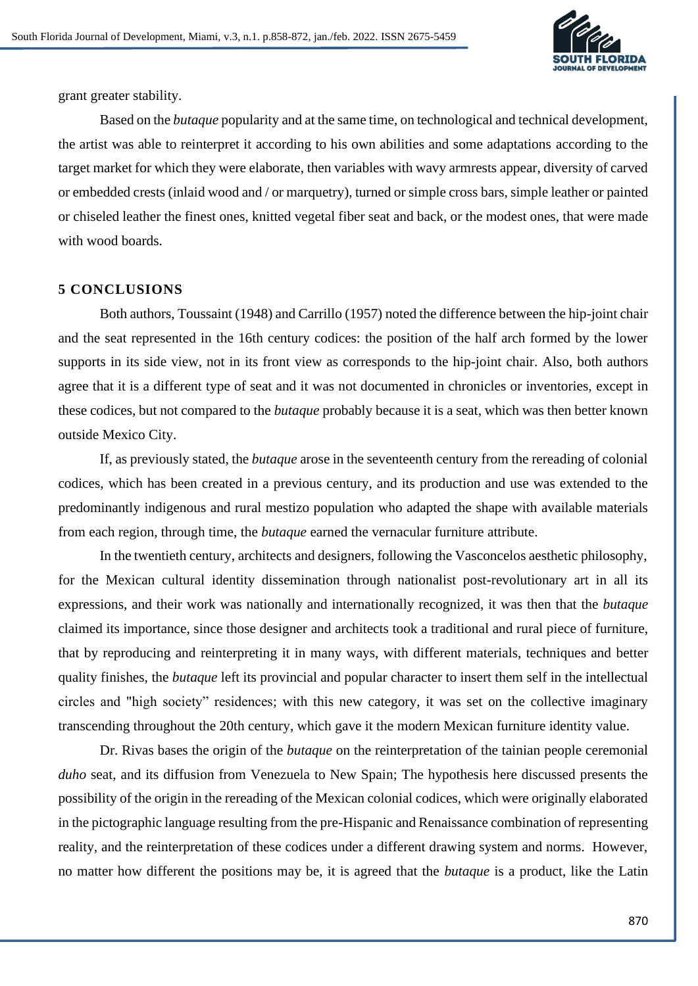

grant greater stability.

Based on the *butaque* popularity and at the same time, on technological and technical development, the artist was able to reinterpret it according to his own abilities and some adaptations according to the target market for which they were elaborate, then variables with wavy armrests appear, diversity of carved or embedded crests (inlaid wood and / or marquetry), turned or simple cross bars, simple leather or painted or chiseled leather the finest ones, knitted vegetal fiber seat and back, or the modest ones, that were made with wood boards.

#### **5 CONCLUSIONS**

Both authors, Toussaint (1948) and Carrillo (1957) noted the difference between the hip-joint chair and the seat represented in the 16th century codices: the position of the half arch formed by the lower supports in its side view, not in its front view as corresponds to the hip-joint chair. Also, both authors agree that it is a different type of seat and it was not documented in chronicles or inventories, except in these codices, but not compared to the *butaque* probably because it is a seat, which was then better known outside Mexico City.

If, as previously stated, the *butaque* arose in the seventeenth century from the rereading of colonial codices, which has been created in a previous century, and its production and use was extended to the predominantly indigenous and rural mestizo population who adapted the shape with available materials from each region, through time, the *butaque* earned the vernacular furniture attribute.

In the twentieth century, architects and designers, following the Vasconcelos aesthetic philosophy, for the Mexican cultural identity dissemination through nationalist post-revolutionary art in all its expressions, and their work was nationally and internationally recognized, it was then that the *butaque* claimed its importance, since those designer and architects took a traditional and rural piece of furniture, that by reproducing and reinterpreting it in many ways, with different materials, techniques and better quality finishes, the *butaque* left its provincial and popular character to insert them self in the intellectual circles and "high society" residences; with this new category, it was set on the collective imaginary transcending throughout the 20th century, which gave it the modern Mexican furniture identity value.

Dr. Rivas bases the origin of the *butaque* on the reinterpretation of the tainian people ceremonial *duho* seat, and its diffusion from Venezuela to New Spain; The hypothesis here discussed presents the possibility of the origin in the rereading of the Mexican colonial codices, which were originally elaborated in the pictographic language resulting from the pre-Hispanic and Renaissance combination of representing reality, and the reinterpretation of these codices under a different drawing system and norms. However, no matter how different the positions may be, it is agreed that the *butaque* is a product, like the Latin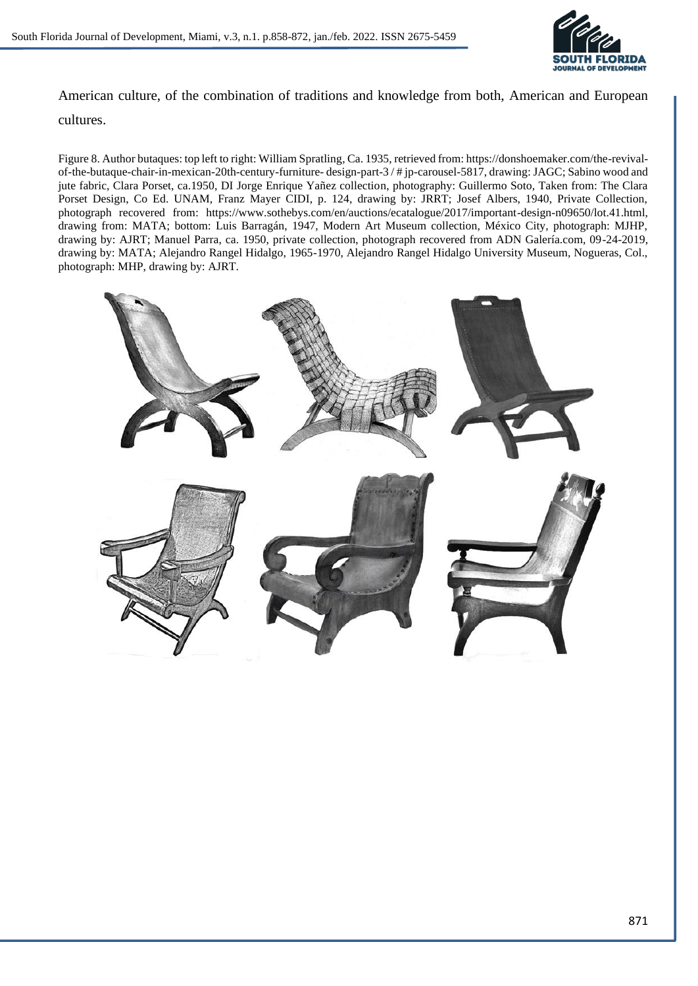

American culture, of the combination of traditions and knowledge from both, American and European

## cultures.

Figure 8. Author butaques: top left to right: William Spratling, Ca. 1935, retrieved from: https://donshoemaker.com/the-revivalof-the-butaque-chair-in-mexican-20th-century-furniture- design-part-3 / # jp-carousel-5817, drawing: JAGC; Sabino wood and jute fabric, Clara Porset, ca.1950, DI Jorge Enrique Yañez collection, photography: Guillermo Soto, Taken from: The Clara Porset Design, Co Ed. UNAM, Franz Mayer CIDI, p. 124, drawing by: JRRT; Josef Albers, 1940, Private Collection, photograph recovered from: https://www.sothebys.com/en/auctions/ecatalogue/2017/important-design-n09650/lot.41.html, drawing from: MATA; bottom: Luis Barragán, 1947, Modern Art Museum collection, México City, photograph: MJHP, drawing by: AJRT; Manuel Parra, ca. 1950, private collection, photograph recovered from ADN Galería.com, 09-24-2019, drawing by: MATA; Alejandro Rangel Hidalgo, 1965-1970, Alejandro Rangel Hidalgo University Museum, Nogueras, Col., photograph: MHP, drawing by: AJRT.